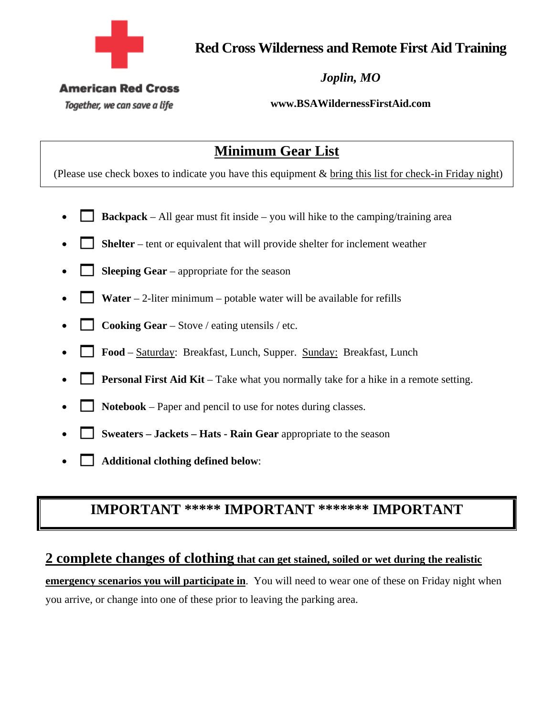

**Red Cross Wilderness and Remote First Aid Training** 

*Joplin, MO* 

#### **American Red Cross**

Together, we can save a life

**www.BSAWildernessFirstAid.com** 

# **Minimum Gear List**

(Please use check boxes to indicate you have this equipment & bring this list for check-in Friday night)

- **Backpack** All gear must fit inside you will hike to the camping/training area
- **Shelter** tent or equivalent that will provide shelter for inclement weather
- **Sleeping Gear** appropriate for the season
- **Water** 2-liter minimum potable water will be available for refills
- **Cooking Gear** Stove / eating utensils / etc.
- **Food** Saturday: Breakfast, Lunch, Supper. Sunday: Breakfast, Lunch
- **Personal First Aid Kit** Take what you normally take for a hike in a remote setting.
- **Notebook** Paper and pencil to use for notes during classes.
- **Sweaters Jackets Hats Rain Gear** appropriate to the season
- **Additional clothing defined below**:

# **IMPORTANT \*\*\*\*\* IMPORTANT \*\*\*\*\*\*\* IMPORTANT**

#### **2 complete changes of clothing that can get stained, soiled or wet during the realistic**

**emergency scenarios you will participate in**. You will need to wear one of these on Friday night when you arrive, or change into one of these prior to leaving the parking area.